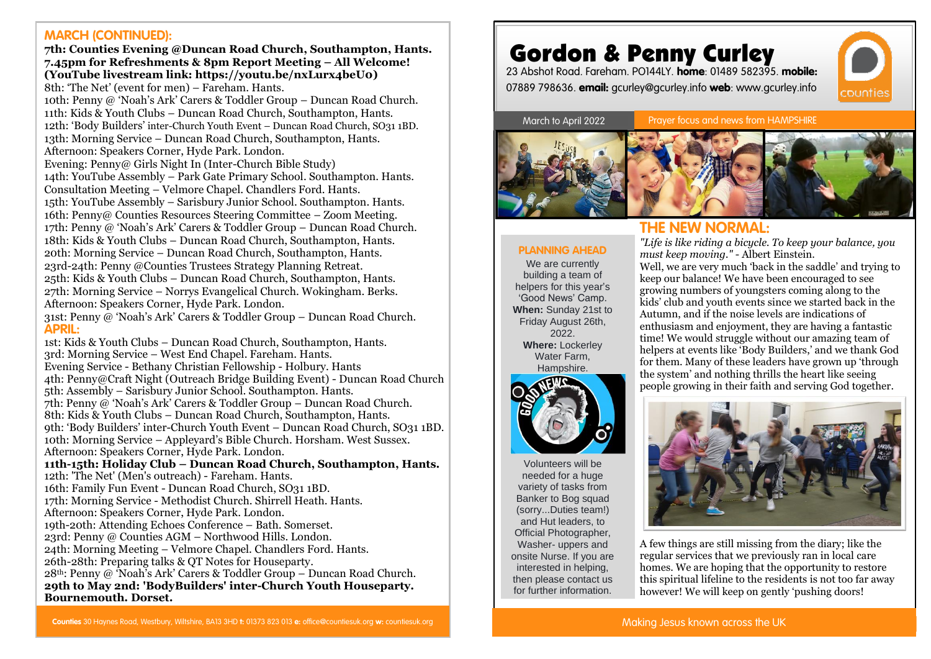#### **MARCH (CONTINUED):**

**7th: Counties Evening @Duncan Road Church, Southampton, Hants. 7.45pm for Refreshments & 8pm Report Meeting – All Welcome! (YouTube livestream link: https://youtu.be/nxLurx4beU0)** 8th: 'The Net' (event for men) – Fareham. Hants. 10th: Penny @ 'Noah's Ark' Carers & Toddler Group – Duncan Road Church.

11th: Kids & Youth Clubs – Duncan Road Church, Southampton, Hants. 12th: 'Body Builders' inter-Church Youth Event – Duncan Road Church, SO31 1BD. 13th: Morning Service – Duncan Road Church, Southampton, Hants. Afternoon: Speakers Corner, Hyde Park. London.

Evening: Penny@ Girls Night In (Inter-Church Bible Study) 14th: YouTube Assembly – Park Gate Primary School. Southampton. Hants. Consultation Meeting – Velmore Chapel. Chandlers Ford. Hants. 15th: YouTube Assembly – Sarisbury Junior School. Southampton. Hants. 16th: Penny@ Counties Resources Steering Committee – Zoom Meeting. 17th: Penny @ 'Noah's Ark' Carers & Toddler Group – Duncan Road Church. 18th: Kids & Youth Clubs – Duncan Road Church, Southampton, Hants. 20th: Morning Service – Duncan Road Church, Southampton, Hants. 23rd-24th: Penny @Counties Trustees Strategy Planning Retreat. 25th: Kids & Youth Clubs – Duncan Road Church, Southampton, Hants. 27th: Morning Service – Norrys Evangelical Church. Wokingham. Berks. Afternoon: Speakers Corner, Hyde Park. London.

31st: Penny @ 'Noah's Ark' Carers & Toddler Group – Duncan Road Church. **APRIL:**

1st: Kids & Youth Clubs – Duncan Road Church, Southampton, Hants. 3rd: Morning Service – West End Chapel. Fareham. Hants. Evening Service - Bethany Christian Fellowship - Holbury. Hants 4th: Penny@Craft Night (Outreach Bridge Building Event) - Duncan Road Church 5th: Assembly – Sarisbury Junior School. Southampton. Hants. 7th: Penny @ 'Noah's Ark' Carers & Toddler Group – Duncan Road Church. 8th: Kids & Youth Clubs – Duncan Road Church, Southampton, Hants. 9th: 'Body Builders' inter-Church Youth Event – Duncan Road Church, SO31 1BD. 10th: Morning Service – Appleyard's Bible Church. Horsham. West Sussex. Afternoon: Speakers Corner, Hyde Park. London. **11th-15th: Holiday Club – Duncan Road Church, Southampton, Hants.** 12th: 'The Net' (Men's outreach) - Fareham. Hants. 16th: Family Fun Event - Duncan Road Church, SO31 1BD. 17th: Morning Service - Methodist Church. Shirrell Heath. Hants. Afternoon: Speakers Corner, Hyde Park. London. 19th-20th: Attending Echoes Conference – Bath. Somerset. 23rd: Penny @ Counties AGM – Northwood Hills. London. 24th: Morning Meeting – Velmore Chapel. Chandlers Ford. Hants. 26th-28th: Preparing talks & QT Notes for Houseparty.  $28<sup>th</sup>$ : Penny @ 'Noah's Ark' Carers & Toddler Group – Duncan Road Church. **29th to May 2nd: 'BodyBuilders' inter-Church Youth Houseparty. Bournemouth. Dorset.**

Gordon & Penny Curley



March to April 2022

**PLANNING AHEAD** We are currently building a team of helpers for this year's 'Good News' Camp. **When:** Sunday 21st to Friday August 26th, 2022. **Where:** Lockerley Water Farm, Hampshire.

Prayer focus and news from HAMPSHIRE





### **THE NEW NORMAL:**

*"Life is like riding a bicycle. To keep your balance, you must keep moving."* - Albert Einstein.

Well, we are very much 'back in the saddle' and trying to keep our balance! We have been encouraged to see growing numbers of youngsters coming along to the kids' club and youth events since we started back in the Autumn, and if the noise levels are indications of enthusiasm and enjoyment, they are having a fantastic time! We would struggle without our amazing team of helpers at events like 'Body Builders,' and we thank God for them. Many of these leaders have grown up 'through the system' and nothing thrills the heart like seeing people growing in their faith and serving God together.



Volunteers will be needed for a huge variety of tasks from Banker to Bog squad (sorry...Duties team!) and Hut leaders, to Official Photographer, Washer- uppers and onsite Nurse. If you are interested in helping, then please contact us for further information.



A few things are still missing from the diary; like the regular services that we previously ran in local care homes. We are hoping that the opportunity to restore this spiritual lifeline to the residents is not too far away however! We will keep on gently 'pushing doors!